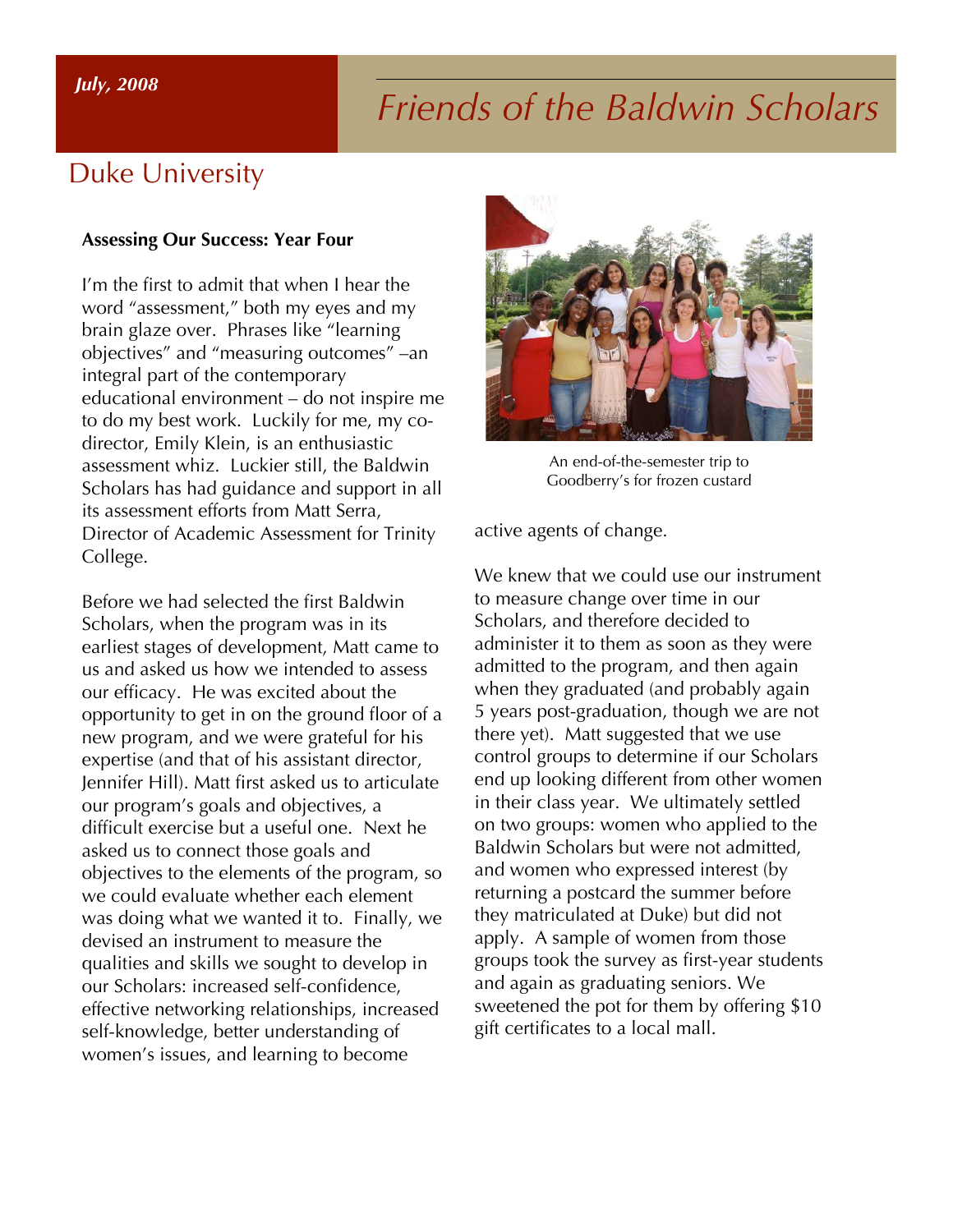# *Friends of the Baldwin Scholars July, 2008*

#### Duke University

#### **Assessing Our Success: Year Four**

I'm the first to admit that when I hear the word "assessment," both my eyes and my brain glaze over. Phrases like "learning objectives" and "measuring outcomes" –an integral part of the contemporary educational environment – do not inspire me to do my best work. Luckily for me, my codirector, Emily Klein, is an enthusiastic assessment whiz. Luckier still, the Baldwin Scholars has had guidance and support in all its assessment efforts from Matt Serra, Director of Academic Assessment for Trinity College.

Before we had selected the first Baldwin Scholars, when the program was in its earliest stages of development, Matt came to us and asked us how we intended to assess our efficacy. He was excited about the opportunity to get in on the ground floor of a new program, and we were grateful for his expertise (and that of his assistant director, Jennifer Hill). Matt first asked us to articulate our program's goals and objectives, a difficult exercise but a useful one. Next he asked us to connect those goals and objectives to the elements of the program, so we could evaluate whether each element was doing what we wanted it to. Finally, we devised an instrument to measure the qualities and skills we sought to develop in our Scholars: increased self-confidence, effective networking relationships, increased self-knowledge, better understanding of women's issues, and learning to become



An end-of-the-semester trip to Goodberry's for frozen custard

active agents of change.

We knew that we could use our instrument to measure change over time in our Scholars, and therefore decided to administer it to them as soon as they were admitted to the program, and then again when they graduated (and probably again 5 years post-graduation, though we are not there yet). Matt suggested that we use control groups to determine if our Scholars end up looking different from other women in their class year. We ultimately settled on two groups: women who applied to the Baldwin Scholars but were not admitted, and women who expressed interest (by returning a postcard the summer before they matriculated at Duke) but did not apply. A sample of women from those groups took the survey as first-year students and again as graduating seniors. We sweetened the pot for them by offering \$10 gift certificates to a local mall.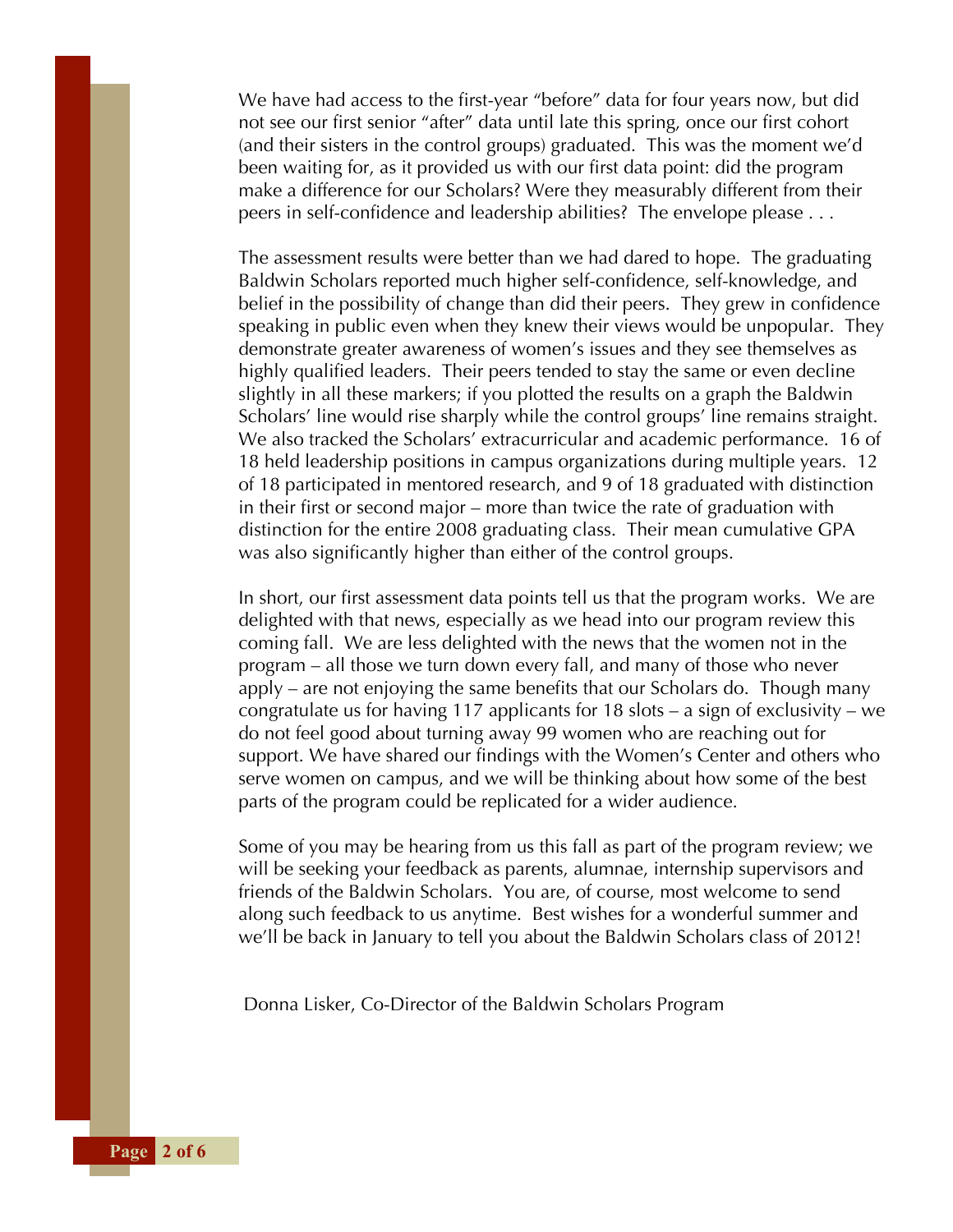We have had access to the first-year "before" data for four years now, but did not see our first senior "after" data until late this spring, once our first cohort (and their sisters in the control groups) graduated. This was the moment we'd been waiting for, as it provided us with our first data point: did the program make a difference for our Scholars? Were they measurably different from their peers in self-confidence and leadership abilities? The envelope please . . .

The assessment results were better than we had dared to hope. The graduating Baldwin Scholars reported much higher self-confidence, self-knowledge, and belief in the possibility of change than did their peers. They grew in confidence speaking in public even when they knew their views would be unpopular. They demonstrate greater awareness of women's issues and they see themselves as highly qualified leaders. Their peers tended to stay the same or even decline slightly in all these markers; if you plotted the results on a graph the Baldwin Scholars' line would rise sharply while the control groups' line remains straight. We also tracked the Scholars' extracurricular and academic performance. 16 of 18 held leadership positions in campus organizations during multiple years. 12 of 18 participated in mentored research, and 9 of 18 graduated with distinction in their first or second major – more than twice the rate of graduation with distinction for the entire 2008 graduating class. Their mean cumulative GPA was also significantly higher than either of the control groups.

In short, our first assessment data points tell us that the program works. We are delighted with that news, especially as we head into our program review this coming fall. We are less delighted with the news that the women not in the program – all those we turn down every fall, and many of those who never apply – are not enjoying the same benefits that our Scholars do. Though many congratulate us for having 117 applicants for 18 slots – a sign of exclusivity – we do not feel good about turning away 99 women who are reaching out for support. We have shared our findings with the Women's Center and others who serve women on campus, and we will be thinking about how some of the best parts of the program could be replicated for a wider audience.

Some of you may be hearing from us this fall as part of the program review; we will be seeking your feedback as parents, alumnae, internship supervisors and friends of the Baldwin Scholars. You are, of course, most welcome to send along such feedback to us anytime. Best wishes for a wonderful summer and we'll be back in January to tell you about the Baldwin Scholars class of 2012!

Donna Lisker, Co-Director of the Baldwin Scholars Program

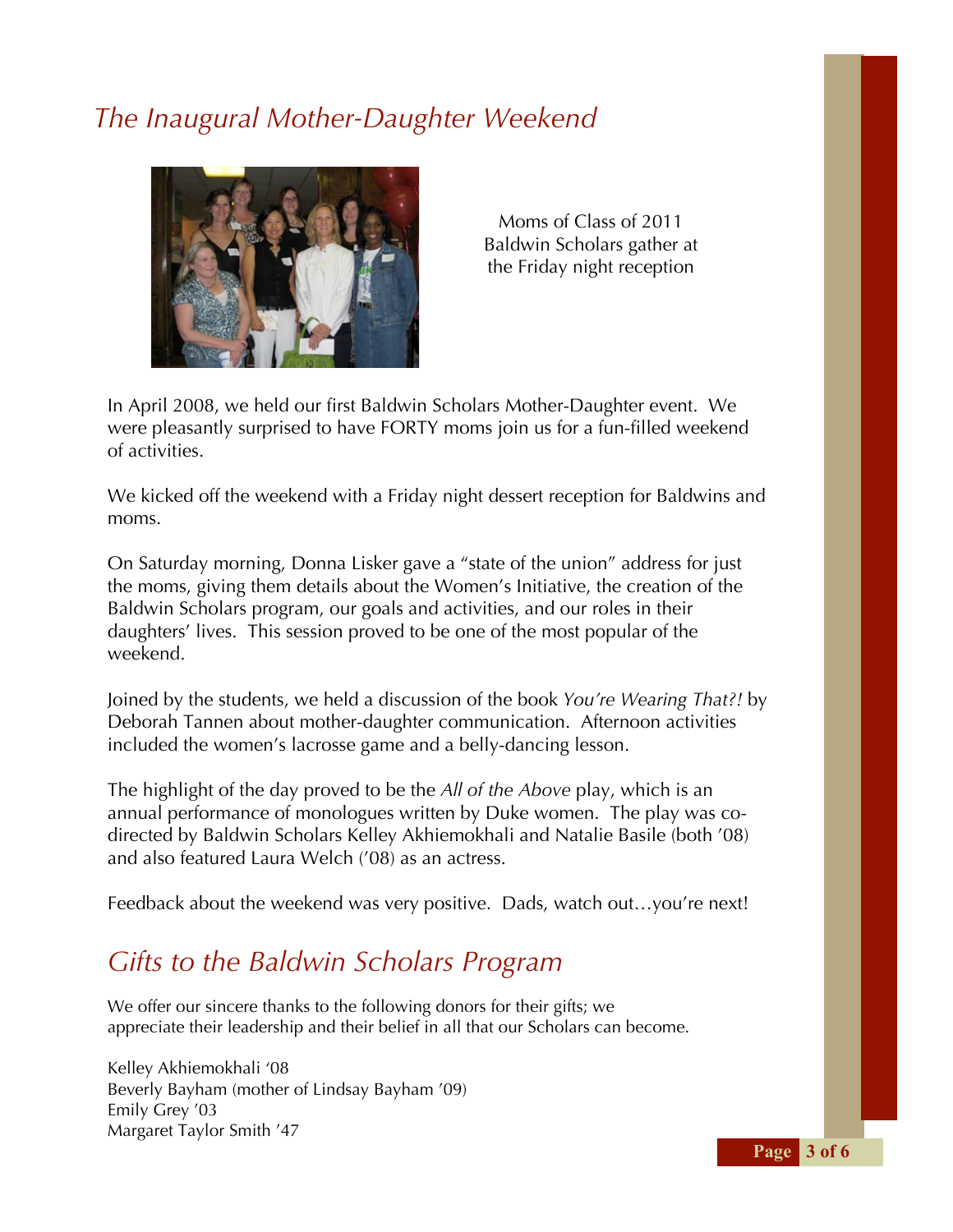#### *The Inaugural Mother-Daughter Weekend*



Moms of Class of 2011 Baldwin Scholars gather at the Friday night reception

In April 2008, we held our first Baldwin Scholars Mother-Daughter event. We were pleasantly surprised to have FORTY moms join us for a fun-filled weekend of activities.

We kicked off the weekend with a Friday night dessert reception for Baldwins and moms.

On Saturday morning, Donna Lisker gave a "state of the union" address for just the moms, giving them details about the Women's Initiative, the creation of the Baldwin Scholars program, our goals and activities, and our roles in their daughters' lives. This session proved to be one of the most popular of the weekend.

Joined by the students, we held a discussion of the book *You're Wearing That?!* by Deborah Tannen about mother-daughter communication. Afternoon activities included the women's lacrosse game and a belly-dancing lesson.

The highlight of the day proved to be the *All of the Above* play, which is an annual performance of monologues written by Duke women. The play was codirected by Baldwin Scholars Kelley Akhiemokhali and Natalie Basile (both '08) and also featured Laura Welch ('08) as an actress.

Feedback about the weekend was very positive. Dads, watch out…you're next!

### *Gifts to the Baldwin Scholars Program*

We offer our sincere thanks to the following donors for their gifts; we appreciate their leadership and their belief in all that our Scholars can become.

Kelley Akhiemokhali '08 Beverly Bayham (mother of Lindsay Bayham '09) Emily Grey '03 Margaret Taylor Smith '47

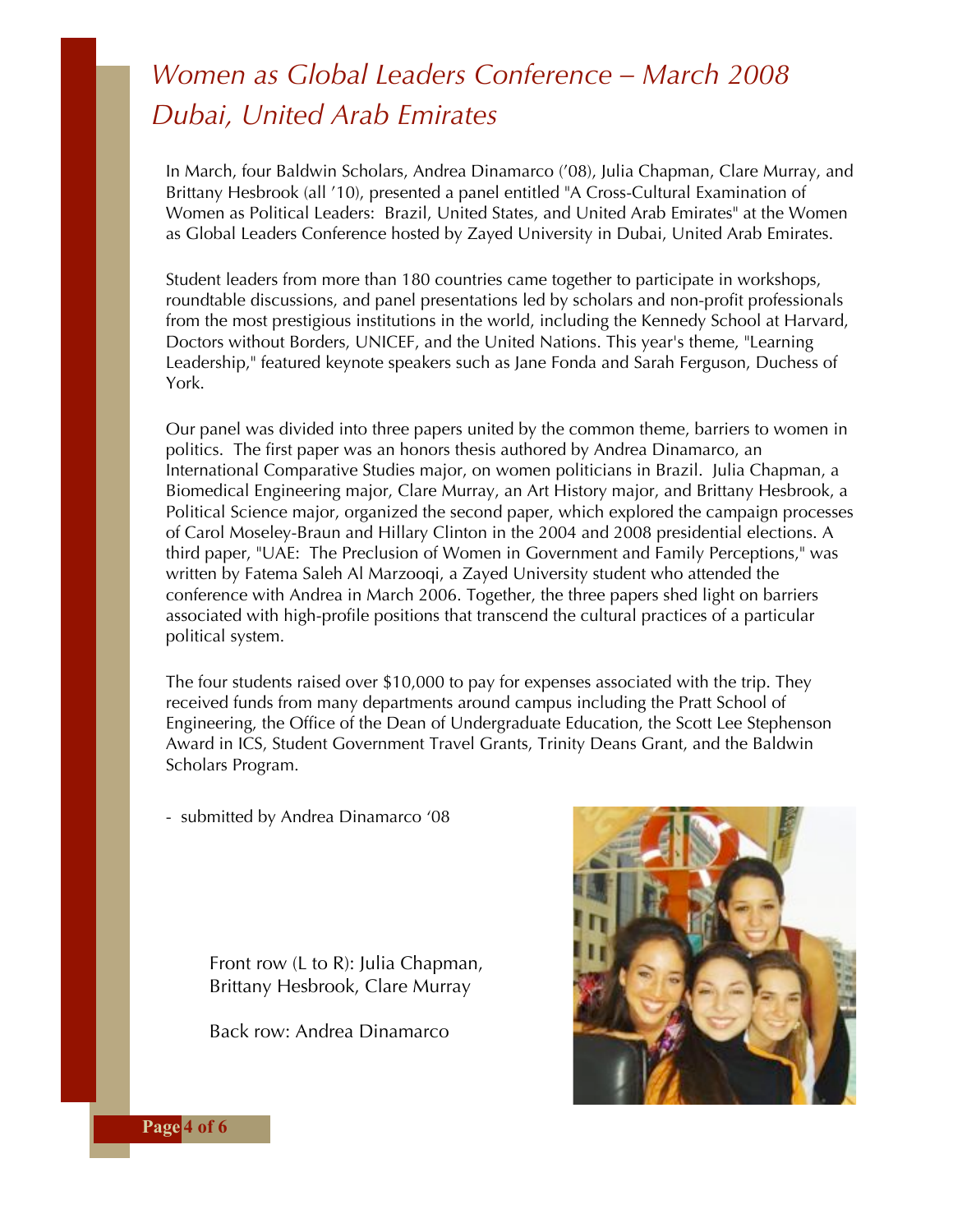## *Women as Global Leaders Conference – March 2008 Dubai, United Arab Emirates*

In March, four Baldwin Scholars, Andrea Dinamarco ('08), Julia Chapman, Clare Murray, and Brittany Hesbrook (all '10), presented a panel entitled "A Cross-Cultural Examination of Women as Political Leaders: Brazil, United States, and United Arab Emirates" at the Women as Global Leaders Conference hosted by Zayed University in Dubai, United Arab Emirates.

Student leaders from more than 180 countries came together to participate in workshops, roundtable discussions, and panel presentations led by scholars and non-profit professionals from the most prestigious institutions in the world, including the Kennedy School at Harvard, Doctors without Borders, UNICEF, and the United Nations. This year's theme, "Learning Leadership," featured keynote speakers such as Jane Fonda and Sarah Ferguson, Duchess of York.

Our panel was divided into three papers united by the common theme, barriers to women in politics. The first paper was an honors thesis authored by Andrea Dinamarco, an International Comparative Studies major, on women politicians in Brazil. Julia Chapman, a Biomedical Engineering major, Clare Murray, an Art History major, and Brittany Hesbrook, a Political Science major, organized the second paper, which explored the campaign processes of Carol Moseley-Braun and Hillary Clinton in the 2004 and 2008 presidential elections. A third paper, "UAE: The Preclusion of Women in Government and Family Perceptions," was written by Fatema Saleh Al Marzooqi, a Zayed University student who attended the conference with Andrea in March 2006. Together, the three papers shed light on barriers associated with high-profile positions that transcend the cultural practices of a particular political system.

The four students raised over \$10,000 to pay for expenses associated with the trip. They received funds from many departments around campus including the Pratt School of Engineering, the Office of the Dean of Undergraduate Education, the Scott Lee Stephenson Award in ICS, Student Government Travel Grants, Trinity Deans Grant, and the Baldwin Scholars Program.

- submitted by Andrea Dinamarco '08

Front row (L to R): Julia Chapman, Brittany Hesbrook, Clare Murray

Back row: Andrea Dinamarco



**Page** 4 of 6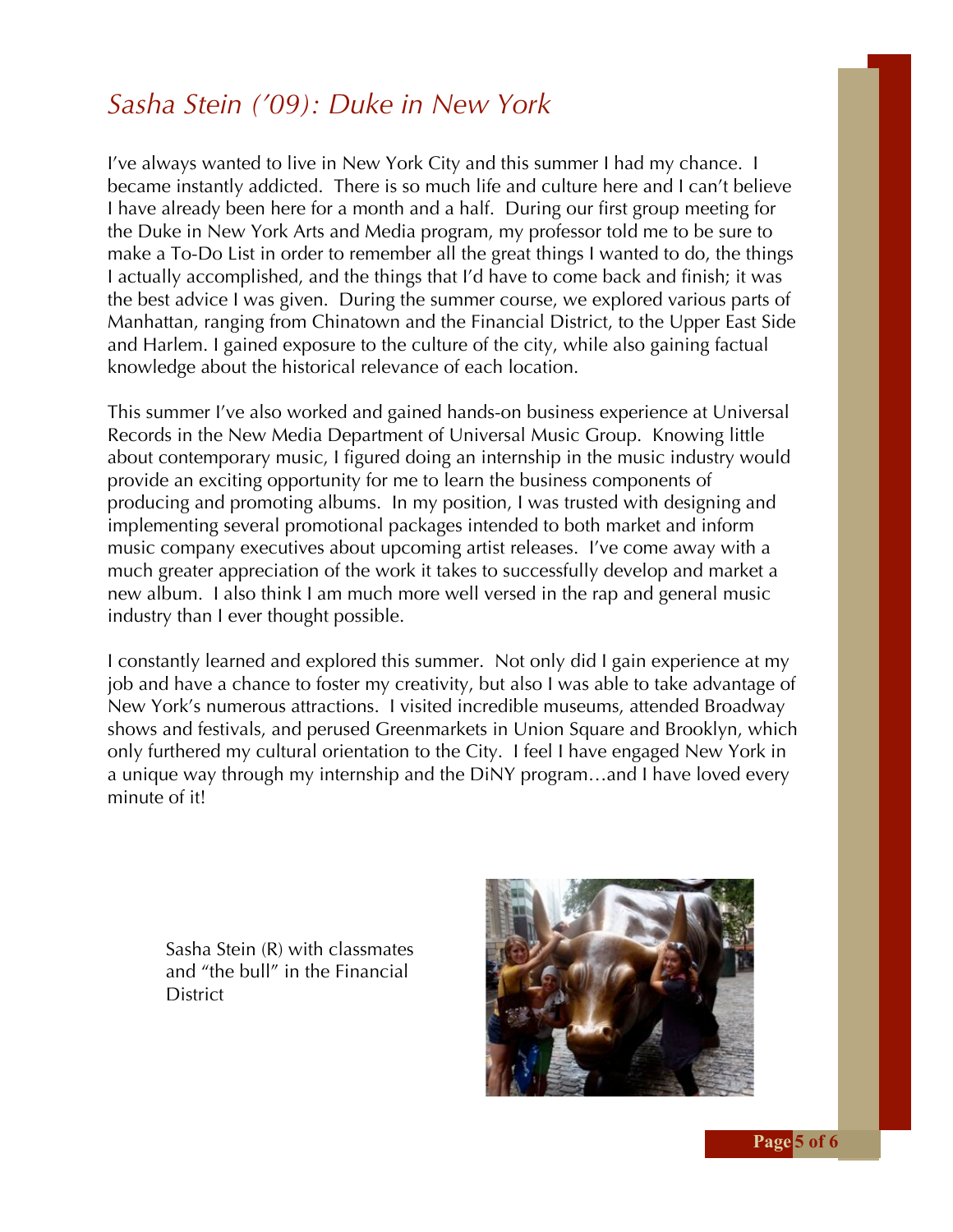#### *Sasha Stein ('09): Duke in New York*

I've always wanted to live in New York City and this summer I had my chance. I became instantly addicted. There is so much life and culture here and I can't believe I have already been here for a month and a half. During our first group meeting for the Duke in New York Arts and Media program, my professor told me to be sure to make a To-Do List in order to remember all the great things I wanted to do, the things I actually accomplished, and the things that I'd have to come back and finish; it was the best advice I was given. During the summer course, we explored various parts of Manhattan, ranging from Chinatown and the Financial District, to the Upper East Side and Harlem. I gained exposure to the culture of the city, while also gaining factual knowledge about the historical relevance of each location.

This summer I've also worked and gained hands-on business experience at Universal Records in the New Media Department of Universal Music Group. Knowing little about contemporary music, I figured doing an internship in the music industry would provide an exciting opportunity for me to learn the business components of producing and promoting albums. In my position, I was trusted with designing and implementing several promotional packages intended to both market and inform music company executives about upcoming artist releases. I've come away with a much greater appreciation of the work it takes to successfully develop and market a new album. I also think I am much more well versed in the rap and general music industry than I ever thought possible.

I constantly learned and explored this summer. Not only did I gain experience at my job and have a chance to foster my creativity, but also I was able to take advantage of New York's numerous attractions. I visited incredible museums, attended Broadway shows and festivals, and perused Greenmarkets in Union Square and Brooklyn, which only furthered my cultural orientation to the City. I feel I have engaged New York in a unique way through my internship and the DiNY program…and I have loved every minute of it!

Sasha Stein (R) with classmates and "the bull" in the Financial **District**